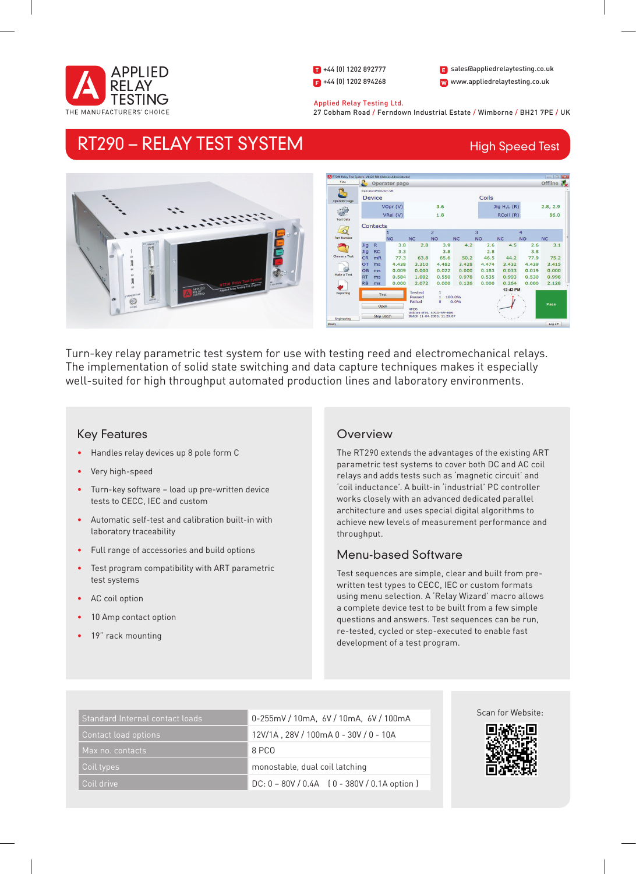

1 +44 (0) 1202 892777  $\left| \right|$  +44 (0) 1202 894268 W www.appliedrelaytesting.co.uk sales@appliedrelaytesting.co.uk

 Applied Relay Testing Ltd. 27 Cobham Road / Ferndown Industrial Estate / Wimborne / BH21 7PE / UK

## RT290 – RELAY TEST SYSTEM

## High Speed Test



Turn-key relay parametric test system for use with testing reed and electromechanical relays. The implementation of solid state switching and data capture techniques makes it especially well-suited for high throughput automated production lines and laboratory environments.

## Key Features

- Handles relay devices up 8 pole form C
- Very high-speed
- Turn-key software load up pre-written device tests to CECC, IEC and custom
- Automatic self-test and calibration built-in with laboratory traceability
- Full range of accessories and build options
- Test program compatibility with ART parametric test systems
- AC coil option
- 10 Amp contact option
- 19" rack mounting

### **Overview**

The RT290 extends the advantages of the existing ART parametric test systems to cover both DC and AC coil relays and adds tests such as 'magnetic circuit' and 'coil inductance'. A built-in 'industrial' PC controller works closely with an advanced dedicated parallel architecture and uses special digital algorithms to achieve new levels of measurement performance and throughput.

## Menu-based Software

Test sequences are simple, clear and built from prewritten test types to CECC, IEC or custom formats using menu selection. A 'Relay Wizard' macro allows a complete device test to be built from a few simple questions and answers. Test sequences can be run, re-tested, cycled or step-executed to enable fast development of a test program.

| Standard Internal contact loads | 0-255mV / 10mA, 6V / 10mA, 6V / 100mA         |
|---------------------------------|-----------------------------------------------|
| Contact load options            | 12V/1A, 28V / 100mA 0 - 30V / 0 - 10A         |
| Max no. contacts                | 8 PCO                                         |
| Coil types                      | monostable, dual coil latching                |
| Coil drive                      | $DC: 0 - 80V / 0.4A$ (0 - 380V / 0.1A option) |



Scan for Website: